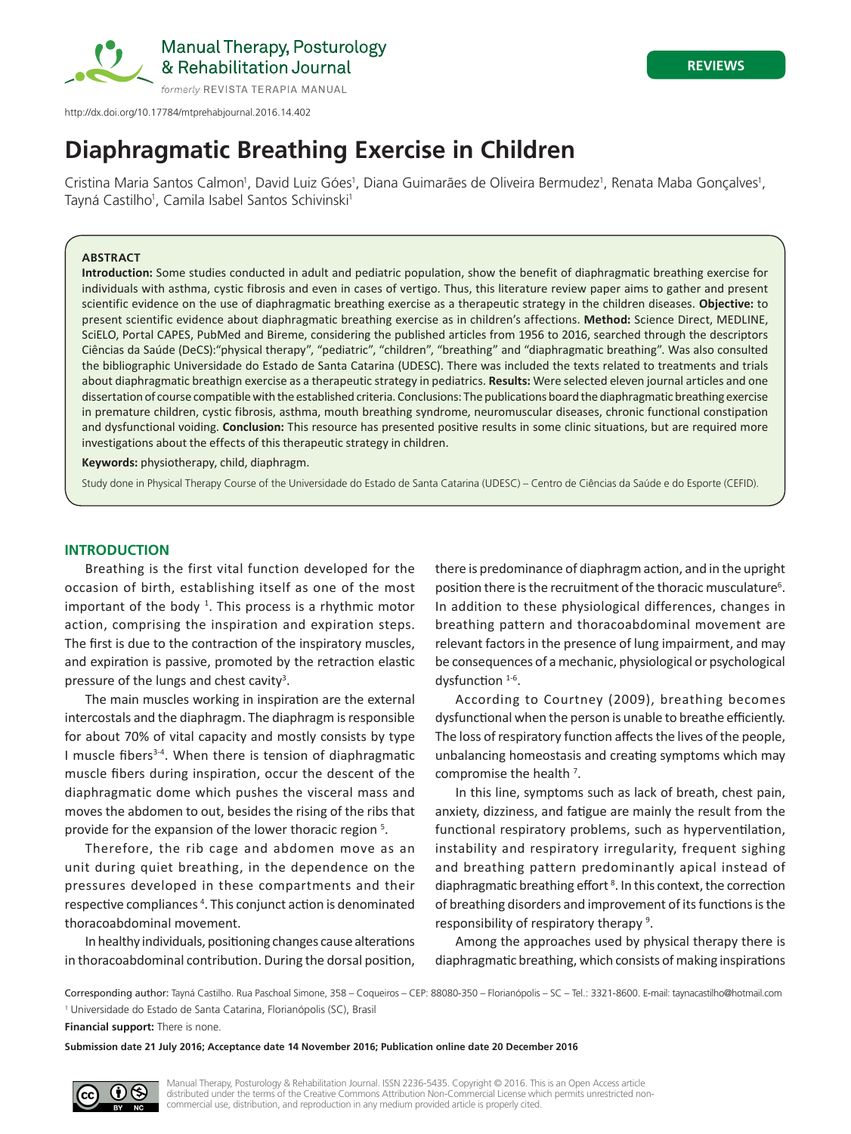

# **Diaphragmatic Breathing Exercise in Children**

Cristina Maria Santos Calmon<sup>1</sup>, David Luiz Góes<sup>1</sup>, Diana Guimarães de Oliveira Bermudez<sup>1</sup>, Renata Maba Gonçalves<sup>1</sup>, Tayná Castilho<sup>1</sup>, Camila Isabel Santos Schivinski<sup>1</sup>

#### **ABSTRACT**

**Introduction:** Some studies conducted in adult and pediatric population, show the benefit of diaphragmatic breathing exercise for individuals with asthma, cystic fibrosis and even in cases of vertigo. Thus, this literature review paper aims to gather and present scientific evidence on the use of diaphragmatic breathing exercise as a therapeutic strategy in the children diseases. **Objective:** to present scientific evidence about diaphragmatic breathing exercise as in children's affections. **Method:** Science Direct, MEDLINE, SciELO, Portal CAPES, PubMed and Bireme, considering the published articles from 1956 to 2016, searched through the descriptors Ciências da Saúde (DeCS):"physical therapy", "pediatric", "children", "breathing" and "diaphragmatic breathing". Was also consulted the bibliographic Universidade do Estado de Santa Catarina (UDESC). There was included the texts related to treatments and trials about diaphragmatic breathign exercise as a therapeutic strategy in pediatrics. **Results:** Were selected eleven journal articles and one dissertation of course compatible with the established criteria. Conclusions: The publications board the diaphragmatic breathing exercise in premature children, cystic fibrosis, asthma, mouth breathing syndrome, neuromuscular diseases, chronic functional constipation and dysfunctional voiding. **Conclusion:** This resource has presented positive results in some clinic situations, but are required more investigations about the effects of this therapeutic strategy in children.

**Keywords:** physiotherapy, child, diaphragm.

Study done in Physical Therapy Course of the Universidade do Estado de Santa Catarina (UDESC) – Centro de Ciências da Saúde e do Esporte (CEFID).

#### **INTRODUCTION**

Breathing is the first vital function developed for the occasion of birth, establishing itself as one of the most important of the body <sup>1</sup>. This process is a rhythmic motor action, comprising the inspiration and expiration steps. The first is due to the contraction of the inspiratory muscles, and expiration is passive, promoted by the retraction elastic pressure of the lungs and chest cavity<sup>3</sup>.

The main muscles working in inspiration are the external intercostals and the diaphragm. The diaphragm is responsible for about 70% of vital capacity and mostly consists by type I muscle fibers<sup>3-4</sup>. When there is tension of diaphragmatic muscle fibers during inspiration, occur the descent of the diaphragmatic dome which pushes the visceral mass and moves the abdomen to out, besides the rising of the ribs that provide for the expansion of the lower thoracic region<sup>5</sup>.

Therefore, the rib cage and abdomen move as an unit during quiet breathing, in the dependence on the pressures developed in these compartments and their respective compliances<sup>4</sup>. This conjunct action is denominated thoracoabdominal movement.

In healthy individuals, positioning changes cause alterations in thoracoabdominal contribution. During the dorsal position,

there is predominance of diaphragm action, and in the upright position there is the recruitment of the thoracic musculature<sup>6</sup>. In addition to these physiological differences, changes in breathing pattern and thoracoabdominal movement are relevant factors in the presence of lung impairment, and may be consequences of a mechanic, physiological or psychological dysfunction <sup>1-6</sup>.

According to Courtney (2009), breathing becomes dysfunctional when the person is unable to breathe efficiently. The loss of respiratory function affects the lives of the people, unbalancing homeostasis and creating symptoms which may compromise the health<sup>7</sup>.

In this line, symptoms such as lack of breath, chest pain, anxiety, dizziness, and fatigue are mainly the result from the functional respiratory problems, such as hyperventilation, instability and respiratory irregularity, frequent sighing and breathing pattern predominantly apical instead of diaphragmatic breathing effort<sup>8</sup>. In this context, the correction of breathing disorders and improvement of its functions is the responsibility of respiratory therapy<sup>9</sup>.

Among the approaches used by physical therapy there is diaphragmatic breathing, which consists of making inspirations

Corresponding author: Tayná Castilho. Rua Paschoal Simone, 358 – Coqueiros – CEP: 88080-350 – Florianópolis – SC – Tel.: 3321-8600. E-mail: taynacastilho@hotmail.com <sup>1</sup> Universidade do Estado de Santa Catarina, Florianópolis (SC), Brasil

**Financial support:** There is none.

**Submission date 21 July 2016; Acceptance date 14 November 2016; Publication online date 20 December 2016**

Manual Therapy, Posturology & Rehabilitation Journal. ISSN 2236-5435. Copyright © 2016. This is an Open Access article distributed under the terms of the Creative Commons Attribution Non-Commercial License which permits unrestricted noncommercial use, distribution, and reproduction in any medium provided article is properly cited.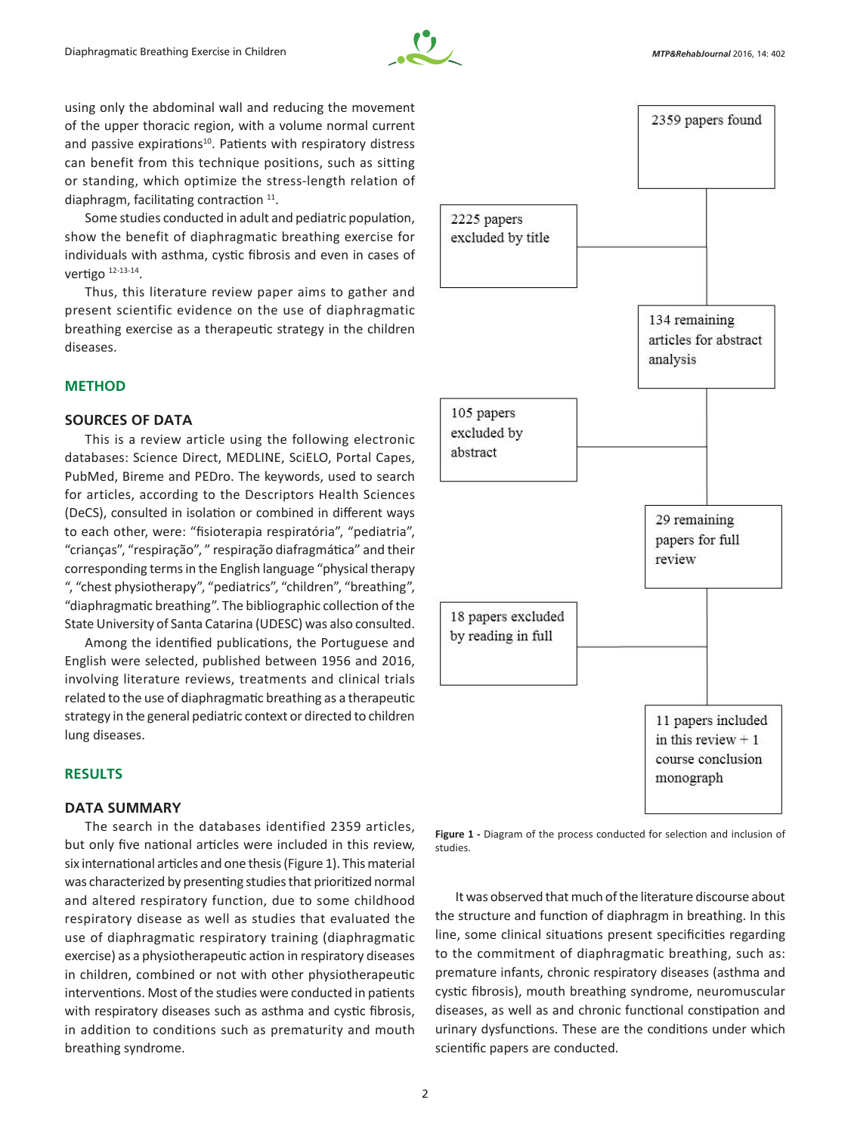

using only the abdominal wall and reducing the movement of the upper thoracic region, with a volume normal current and passive expirations<sup>10</sup>. Patients with respiratory distress can benefit from this technique positions, such as sitting or standing, which optimize the stress-length relation of diaphragm, facilitating contraction  $11$ .

Some studies conducted in adult and pediatric population, show the benefit of diaphragmatic breathing exercise for individuals with asthma, cystic fibrosis and even in cases of vertigo 12-13-14.

Thus, this literature review paper aims to gather and present scientific evidence on the use of diaphragmatic breathing exercise as a therapeutic strategy in the children diseases.

# **METHOD**

## **SOURCES OF DATA**

This is a review article using the following electronic databases: Science Direct, MEDLINE, SciELO, Portal Capes, PubMed, Bireme and PEDro. The keywords, used to search for articles, according to the Descriptors Health Sciences (DeCS), consulted in isolation or combined in different ways to each other, were: "fisioterapia respiratória", "pediatria", "crianças", "respiração", " respiração diafragmática" and their corresponding terms in the English language "physical therapy ", "chest physiotherapy", "pediatrics", "children", "breathing", "diaphragmatic breathing". The bibliographic collection ofthe State University of Santa Catarina (UDESC) was also consulted.

Among the identified publications, the Portuguese and English were selected, published between 1956 and 2016, involving literature reviews, treatments and clinical trials related to the use of diaphragmatic breathing as a therapeutic strategy in the general pediatric context or directed to children lung diseases.

# **RESULTS**

# **DATA SUMMARY**

The search in the databases identified 2359 articles, but only five national articles were included in this review, six international articles and one thesis (Figure 1). This material was characterized by presenting studies that prioritized normal and altered respiratory function, due to some childhood respiratory disease as well as studies that evaluated the use of diaphragmatic respiratory training (diaphragmatic exercise) as a physiotherapeutic action in respiratory diseases in children, combined or not with other physiotherapeutic interventions. Most of the studies were conducted in patients with respiratory diseases such as asthma and cystic fibrosis, in addition to conditions such as prematurity and mouth breathing syndrome.



**Figure 1 -** Diagram of the process conducted for selection and inclusion of studies.

It was observed that much of the literature discourse about the structure and function of diaphragm in breathing. In this line, some clinical situations present specificities regarding to the commitment of diaphragmatic breathing, such as: premature infants, chronic respiratory diseases (asthma and cystic fibrosis), mouth breathing syndrome, neuromuscular diseases, as well as and chronic functional constipation and urinary dysfunctions. These are the conditions under which scientific papers are conducted.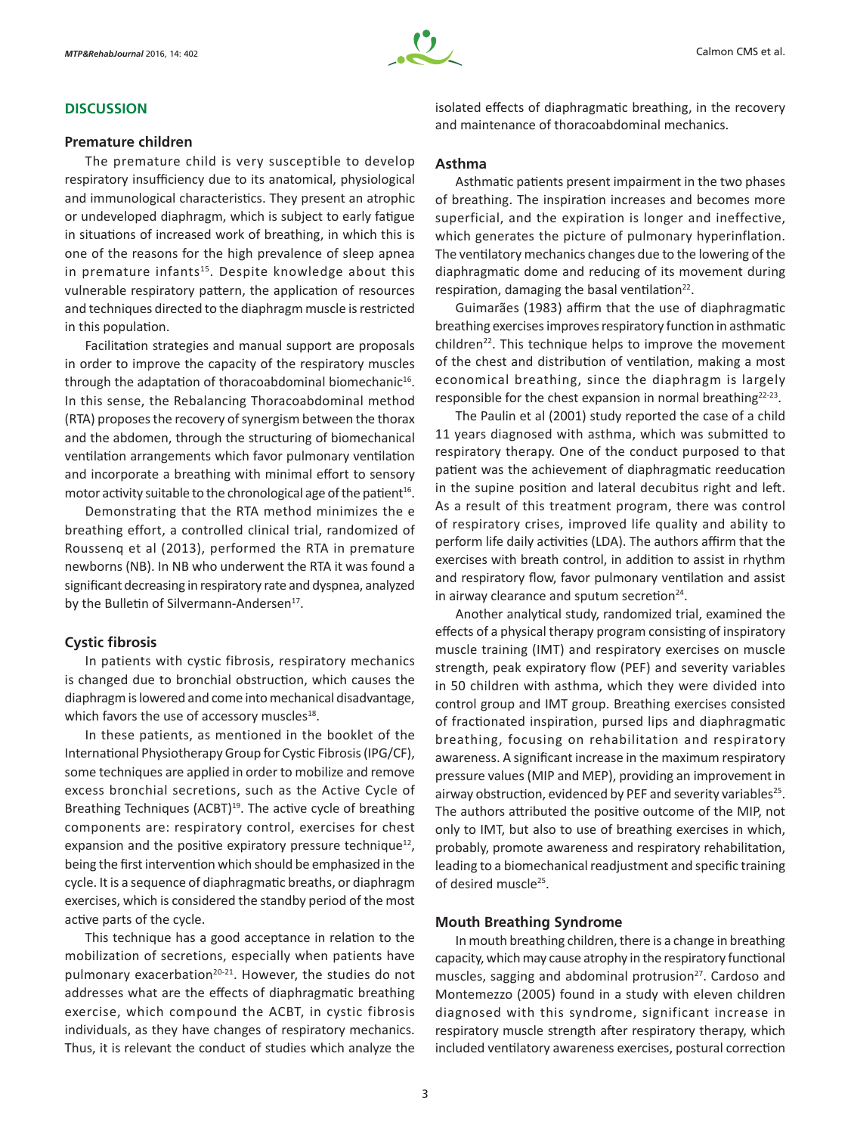## **DISCUSSION**

#### **Premature children**

The premature child is very susceptible to develop respiratory insufficiency due to its anatomical, physiological and immunological characteristics. They present an atrophic or undeveloped diaphragm, which is subject to early fatigue in situations of increased work of breathing, in which this is one of the reasons for the high prevalence of sleep apnea in premature infants<sup>15</sup>. Despite knowledge about this vulnerable respiratory pattern, the application of resources and techniques directed to the diaphragm muscle is restricted in this population.

Facilitation strategies and manual support are proposals in order to improve the capacity of the respiratory muscles through the adaptation of thoracoabdominal biomechanic<sup>16</sup>. In this sense, the Rebalancing Thoracoabdominal method (RTA) proposes the recovery of synergism between the thorax and the abdomen, through the structuring of biomechanical ventilation arrangements which favor pulmonary ventilation and incorporate a breathing with minimal effort to sensory motor activity suitable to the chronological age of the patient<sup>16</sup>.

Demonstrating that the RTA method minimizes the e breathing effort, a controlled clinical trial, randomized of Roussenq et al (2013), performed the RTA in premature newborns (NB). In NB who underwent the RTA it was found a significant decreasing in respiratory rate and dyspnea, analyzed by the Bulletin of Silvermann-Andersen<sup>17</sup>.

## **Cystic fibrosis**

In patients with cystic fibrosis, respiratory mechanics is changed due to bronchial obstruction, which causes the diaphragm is lowered and come into mechanical disadvantage, which favors the use of accessory muscles<sup>18</sup>.

In these patients, as mentioned in the booklet of the International Physiotherapy Group for Cystic Fibrosis(IPG/CF), some techniques are applied in order to mobilize and remove excess bronchial secretions, such as the Active Cycle of Breathing Techniques (ACBT)<sup>19</sup>. The active cycle of breathing components are: respiratory control, exercises for chest expansion and the positive expiratory pressure technique<sup>12</sup>, being the first intervention which should be emphasized in the cycle. It is a sequence of diaphragmatic breaths, or diaphragm exercises, which is considered the standby period of the most active parts of the cycle.

This technique has a good acceptance in relation to the mobilization of secretions, especially when patients have pulmonary exacerbation<sup>20-21</sup>. However, the studies do not addresses what are the effects of diaphragmatic breathing exercise, which compound the ACBT, in cystic fibrosis individuals, as they have changes of respiratory mechanics. Thus, it is relevant the conduct of studies which analyze the isolated effects of diaphragmatic breathing, in the recovery and maintenance of thoracoabdominal mechanics.

## **Asthma**

Asthmatic patients present impairment in the two phases of breathing. The inspiration increases and becomes more superficial, and the expiration is longer and ineffective, which generates the picture of pulmonary hyperinflation. The ventilatory mechanics changes due to the lowering of the diaphragmatic dome and reducing of its movement during respiration, damaging the basal ventilation $22$ .

Guimarães (1983) affirm that the use of diaphragmatic breathing exercises improves respiratory function in asthmatic children<sup>22</sup>. This technique helps to improve the movement of the chest and distribution of ventilation, making a most economical breathing, since the diaphragm is largely responsible for the chest expansion in normal breathing<sup>22-23</sup>.

The Paulin et al (2001) study reported the case of a child 11 years diagnosed with asthma, which was submitted to respiratory therapy. One of the conduct purposed to that patient was the achievement of diaphragmatic reeducation in the supine position and lateral decubitus right and left. As a result of this treatment program, there was control of respiratory crises, improved life quality and ability to perform life daily activities (LDA). The authors affirm that the exercises with breath control, in addition to assist in rhythm and respiratory flow, favor pulmonary ventilation and assist in airway clearance and sputum secretion $24$ .

Another analytical study, randomized trial, examined the effects of a physical therapy program consisting of inspiratory muscle training (IMT) and respiratory exercises on muscle strength, peak expiratory flow (PEF) and severity variables in 50 children with asthma, which they were divided into control group and IMT group. Breathing exercises consisted of fractionated inspiration, pursed lips and diaphragmatic breathing, focusing on rehabilitation and respiratory awareness. A significant increase in the maximum respiratory pressure values(MIP and MEP), providing an improvement in airway obstruction, evidenced by PEF and severity variables<sup>25</sup>. The authors attributed the positive outcome of the MIP, not only to IMT, but also to use of breathing exercises in which, probably, promote awareness and respiratory rehabilitation, leading to a biomechanical readjustment and specific training of desired muscle<sup>25</sup>.

## **Mouth Breathing Syndrome**

In mouth breathing children, there is a change in breathing capacity, which may cause atrophy in the respiratory functional muscles, sagging and abdominal protrusion<sup>27</sup>. Cardoso and Montemezzo (2005) found in a study with eleven children diagnosed with this syndrome, significant increase in respiratory muscle strength after respiratory therapy, which included ventilatory awareness exercises, postural correction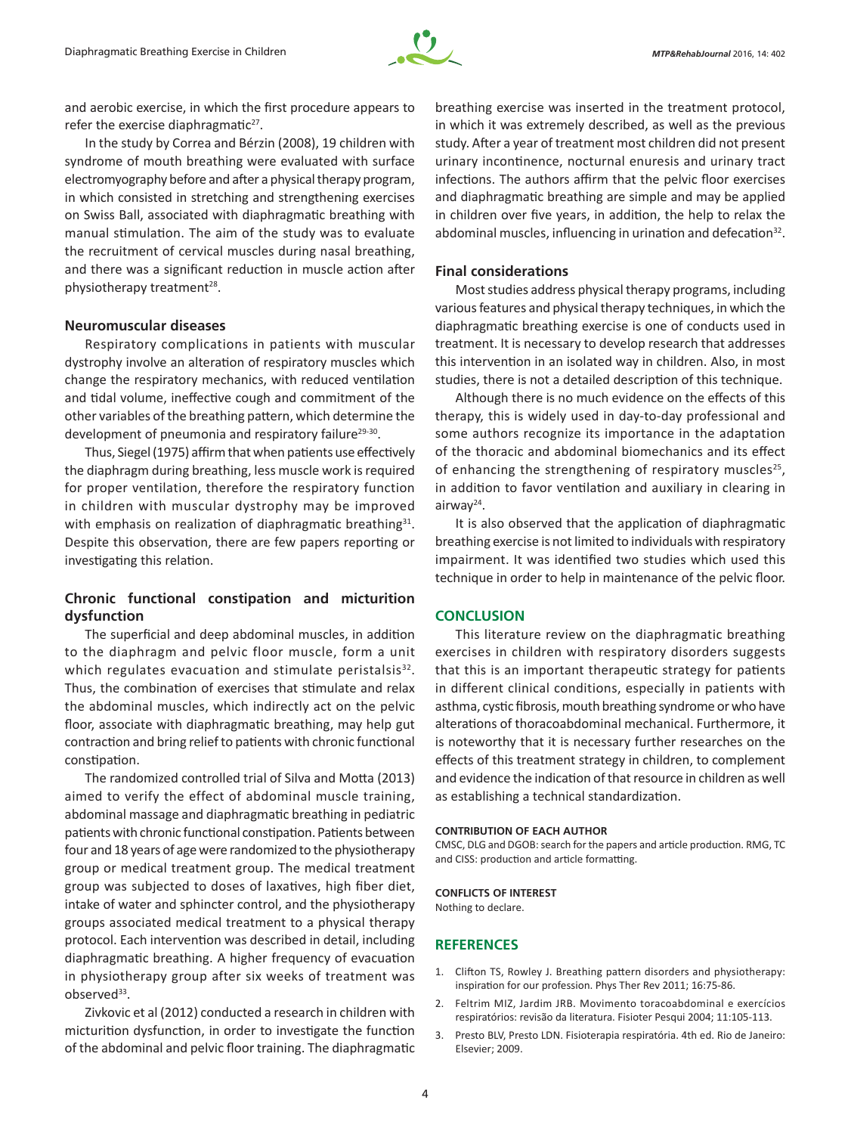

and aerobic exercise, in which the first procedure appears to refer the exercise diaphragmatic $27$ .

In the study by Correa and Bérzin (2008), 19 children with syndrome of mouth breathing were evaluated with surface electromyography before and after a physical therapy program, in which consisted in stretching and strengthening exercises on Swiss Ball, associated with diaphragmatic breathing with manual stimulation. The aim of the study was to evaluate the recruitment of cervical muscles during nasal breathing, and there was a significant reduction in muscle action after physiotherapy treatment<sup>28</sup>.

#### **Neuromuscular diseases**

Respiratory complications in patients with muscular dystrophy involve an alteration of respiratory muscles which change the respiratory mechanics, with reduced ventilation and tidal volume, ineffective cough and commitment of the other variables of the breathing pattern, which determine the development of pneumonia and respiratory failure<sup>29-30</sup>.

Thus, Siegel (1975) affirm that when patients use effectively the diaphragm during breathing, less muscle work is required for proper ventilation, therefore the respiratory function in children with muscular dystrophy may be improved with emphasis on realization of diaphragmatic breathing<sup>31</sup>. Despite this observation, there are few papers reporting or investigating this relation.

# **Chronic functional constipation and micturition dysfunction**

The superficial and deep abdominal muscles, in addition to the diaphragm and pelvic floor muscle, form a unit which regulates evacuation and stimulate peristalsis $32$ . Thus, the combination of exercises that stimulate and relax the abdominal muscles, which indirectly act on the pelvic floor, associate with diaphragmatic breathing, may help gut contraction and bring relief to patients with chronic functional constipation.

The randomized controlled trial of Silva and Motta (2013) aimed to verify the effect of abdominal muscle training, abdominal massage and diaphragmatic breathing in pediatric patients with chronic functional constipation. Patients between four and 18 years of age were randomized to the physiotherapy group or medical treatment group. The medical treatment group was subjected to doses of laxatives, high fiber diet, intake of water and sphincter control, and the physiotherapy groups associated medical treatment to a physical therapy protocol. Each intervention was described in detail, including diaphragmatic breathing. A higher frequency of evacuation in physiotherapy group after six weeks of treatment was  $observed<sup>33</sup>$ .

Zivkovic et al (2012) conducted a research in children with micturition dysfunction, in order to investigate the function of the abdominal and pelvic floor training. The diaphragmatic

breathing exercise was inserted in the treatment protocol, in which it was extremely described, as well as the previous study. After a year of treatment most children did not present urinary incontinence, nocturnal enuresis and urinary tract infections. The authors affirm that the pelvic floor exercises and diaphragmatic breathing are simple and may be applied in children over five years, in addition, the help to relax the abdominal muscles, influencing in urination and defecation $32$ .

#### **Final considerations**

Most studies address physical therapy programs, including various features and physical therapy techniques, in which the diaphragmatic breathing exercise is one of conducts used in treatment. It is necessary to develop research that addresses this intervention in an isolated way in children. Also, in most studies, there is not a detailed description of this technique.

Although there is no much evidence on the effects of this therapy, this is widely used in day-to-day professional and some authors recognize its importance in the adaptation of the thoracic and abdominal biomechanics and its effect of enhancing the strengthening of respiratory muscles<sup>25</sup>, in addition to favor ventilation and auxiliary in clearing in airway24.

It is also observed that the application of diaphragmatic breathing exercise is not limited to individuals with respiratory impairment. It was identified two studies which used this technique in order to help in maintenance of the pelvic floor.

#### **CONCLUSION**

This literature review on the diaphragmatic breathing exercises in children with respiratory disorders suggests that this is an important therapeutic strategy for patients in different clinical conditions, especially in patients with asthma, cystic fibrosis, mouth breathing syndrome or who have alterations of thoracoabdominal mechanical. Furthermore, it is noteworthy that it is necessary further researches on the effects of this treatment strategy in children, to complement and evidence the indication of that resource in children as well as establishing a technical standardization.

#### **CONTRIBUTION OF EACH AUTHOR**

CMSC, DLG and DGOB: search for the papers and article production. RMG, TC and CISS: production and article formatting.

#### **CONFLICTS OF INTEREST**

Nothing to declare.

#### **REFERENCES**

- 1. Clifton TS, Rowley J. Breathing pattern disorders and physiotherapy: inspiration for our profession. Phys Ther Rev 2011; 16:75-86.
- 2. Feltrim MIZ, Jardim JRB. Movimento toracoabdominal e exercícios respiratórios: revisão da literatura. Fisioter Pesqui 2004; 11:105-113.
- 3. Presto BLV, Presto LDN. Fisioterapia respiratória. 4th ed. Rio de Janeiro: Elsevier; 2009.